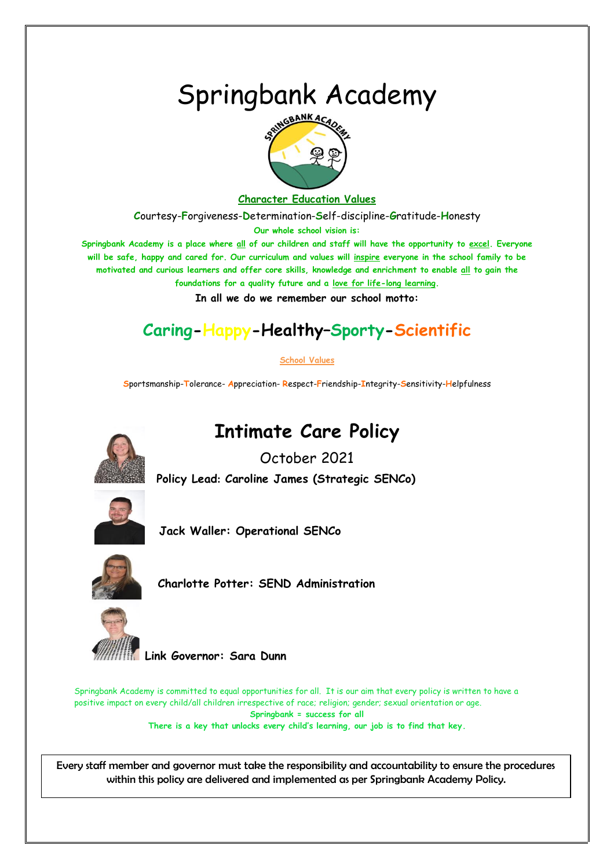# Springbank Academy



## **Character Education Values**

**C**ourtesy-**F**orgiveness-**D**etermination-**S**elf-discipline-**G**ratitude-**H**onesty **Our whole school vision is:**

**Springbank Academy is a place where all of our children and staff will have the opportunity to excel. Everyone will be safe, happy and cared for. Our curriculum and values will inspire everyone in the school family to be motivated and curious learners and offer core skills, knowledge and enrichment to enable all to gain the** 

**foundations for a quality future and a love for life-long learning.**

**In all we do we remember our school motto:**

# **Caring-Happy-Healthy–Sporty-Scientific**

## **School Values**

**S**portsmanship-**T**olerance- **A**ppreciation- **R**espect-**F**riendship-**I**ntegrity-**S**ensitivity-**H**elpfulness



**Intimate Care Policy**

October 2021 **Policy Lead: Caroline James (Strategic SENCo)** 



**Jack Waller: Operational SENCo**



 **Charlotte Potter: SEND Administration**



 **Link Governor: Sara Dunn**

Springbank Academy is committed to equal opportunities for all. It is our aim that every policy is written to have a positive impact on every child/all children irrespective of race; religion; gender; sexual orientation or age. **Springbank = success for all There is a key that unlocks every child's learning, our job is to find that key.**

Every staff member and governor must take the responsibility and accountability to ensure the procedures within this policy are delivered and implemented as per Springbank Academy Policy.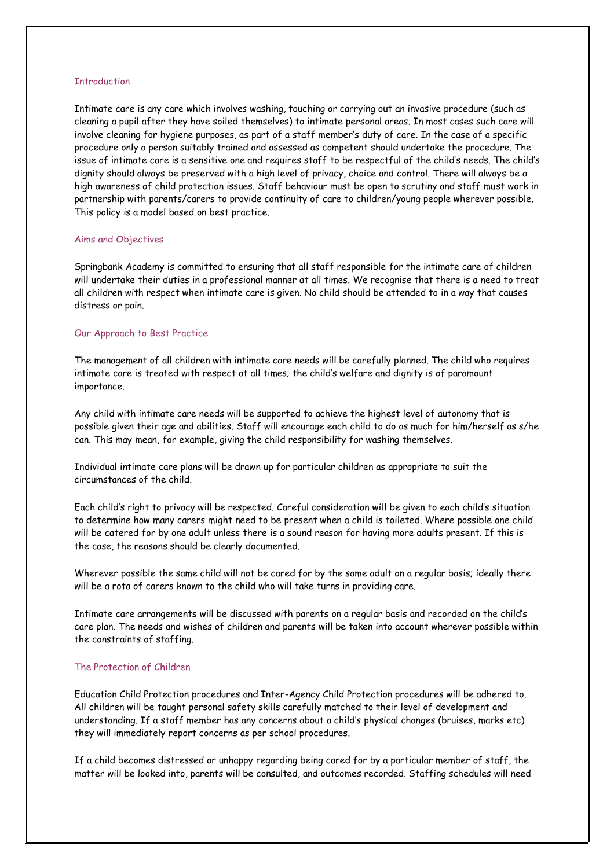#### **Introduction**

Intimate care is any care which involves washing, touching or carrying out an invasive procedure (such as cleaning a pupil after they have soiled themselves) to intimate personal areas. In most cases such care will involve cleaning for hygiene purposes, as part of a staff member's duty of care. In the case of a specific procedure only a person suitably trained and assessed as competent should undertake the procedure. The issue of intimate care is a sensitive one and requires staff to be respectful of the child's needs. The child's dignity should always be preserved with a high level of privacy, choice and control. There will always be a high awareness of child protection issues. Staff behaviour must be open to scrutiny and staff must work in partnership with parents/carers to provide continuity of care to children/young people wherever possible. This policy is a model based on best practice.

#### Aims and Objectives

Springbank Academy is committed to ensuring that all staff responsible for the intimate care of children will undertake their duties in a professional manner at all times. We recognise that there is a need to treat all children with respect when intimate care is given. No child should be attended to in a way that causes distress or pain.

#### Our Approach to Best Practice

The management of all children with intimate care needs will be carefully planned. The child who requires intimate care is treated with respect at all times; the child's welfare and dignity is of paramount importance.

Any child with intimate care needs will be supported to achieve the highest level of autonomy that is possible given their age and abilities. Staff will encourage each child to do as much for him/herself as s/he can. This may mean, for example, giving the child responsibility for washing themselves.

Individual intimate care plans will be drawn up for particular children as appropriate to suit the circumstances of the child.

Each child's right to privacy will be respected. Careful consideration will be given to each child's situation to determine how many carers might need to be present when a child is toileted. Where possible one child will be catered for by one adult unless there is a sound reason for having more adults present. If this is the case, the reasons should be clearly documented.

Wherever possible the same child will not be cared for by the same adult on a regular basis; ideally there will be a rota of carers known to the child who will take turns in providing care.

Intimate care arrangements will be discussed with parents on a regular basis and recorded on the child's care plan. The needs and wishes of children and parents will be taken into account wherever possible within the constraints of staffing.

#### The Protection of Children

Education Child Protection procedures and Inter-Agency Child Protection procedures will be adhered to. All children will be taught personal safety skills carefully matched to their level of development and understanding. If a staff member has any concerns about a child's physical changes (bruises, marks etc) they will immediately report concerns as per school procedures.

If a child becomes distressed or unhappy regarding being cared for by a particular member of staff, the matter will be looked into, parents will be consulted, and outcomes recorded. Staffing schedules will need